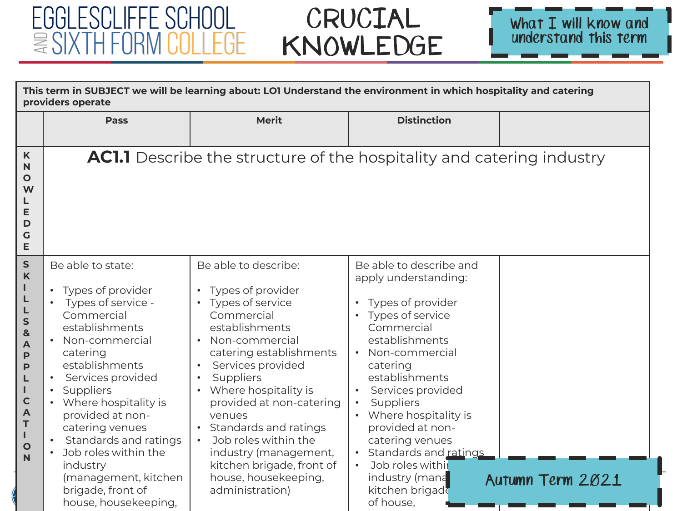#### EGGLESCLIFFE SCHOOL *<u>■ SIXTH FORM COLLEGE</u>*



| This term in SUBJECT we will be learning about: LO1 Understand the environment in which hospitality and catering<br>providers operate                                 |                                                                                                                                                                                                                                                                                                                                                                                       |                                                                                                                                                                                                                                                                                                                                                                                                  |                                                                                                                                                                                                                                                                                                                                                                                                    |                  |
|-----------------------------------------------------------------------------------------------------------------------------------------------------------------------|---------------------------------------------------------------------------------------------------------------------------------------------------------------------------------------------------------------------------------------------------------------------------------------------------------------------------------------------------------------------------------------|--------------------------------------------------------------------------------------------------------------------------------------------------------------------------------------------------------------------------------------------------------------------------------------------------------------------------------------------------------------------------------------------------|----------------------------------------------------------------------------------------------------------------------------------------------------------------------------------------------------------------------------------------------------------------------------------------------------------------------------------------------------------------------------------------------------|------------------|
|                                                                                                                                                                       | <b>Pass</b>                                                                                                                                                                                                                                                                                                                                                                           | <b>Merit</b>                                                                                                                                                                                                                                                                                                                                                                                     | <b>Distinction</b>                                                                                                                                                                                                                                                                                                                                                                                 |                  |
| K<br>N<br>$\mathbf{o}$<br>W<br>E<br>D<br>$\mathsf C$<br>E                                                                                                             |                                                                                                                                                                                                                                                                                                                                                                                       | <b>AC1.1</b> Describe the structure of the hospitality and catering industry                                                                                                                                                                                                                                                                                                                     |                                                                                                                                                                                                                                                                                                                                                                                                    |                  |
| $\mathsf{s}$<br>$\mathsf{K}$<br>L<br>L<br>$\mathsf{s}$<br>$\mathbf{8}$<br>A<br>$\mathsf{P}$<br>P<br>п<br>$\mathbf C$<br>$\mathbf{A}$<br>T<br>I<br>$\overline{O}$<br>N | Be able to state:<br>• Types of provider<br>Types of service -<br>Commercial<br>establishments<br>• Non-commercial<br>catering<br>establishments<br>Services provided<br>Suppliers<br>• Where hospitality is<br>provided at non-<br>catering venues<br>Standards and ratings<br>Job roles within the<br>industry<br>(management, kitchen<br>brigade, front of<br>house, housekeeping, | Be able to describe:<br>Types of provider<br>• Types of service<br>Commercial<br>establishments<br>• Non-commercial<br>catering establishments<br>Services provided<br>Suppliers<br>Where hospitality is<br>provided at non-catering<br>venues<br>Standards and ratings<br>Job roles within the<br>industry (management,<br>kitchen brigade, front of<br>house, housekeeping,<br>administration) | Be able to describe and<br>apply understanding:<br>Types of provider<br>$\bullet$<br>Types of service<br>$\bullet$<br>Commercial<br>establishments<br>Non-commercial<br>catering<br>establishments<br>Services provided<br>Suppliers<br>Where hospitality is<br>provided at non-<br>catering venues<br>Standards and ratings<br>Job roles withil<br>industry (mana<br>kitchen brigade<br>of house, | Autumn Term 2021 |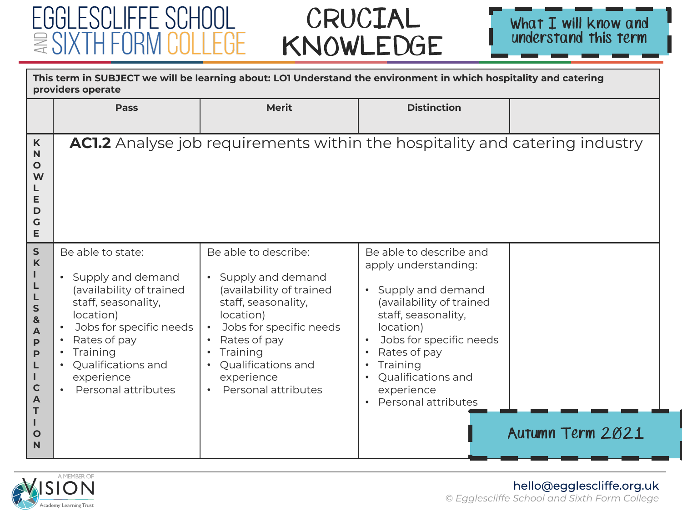#### EGGLESCLIFFE SCHOOL  $\equiv$  SIXTH FORN II I FGF

## CRUCIAL KNOWLEDGE



| This term in SUBJECT we will be learning about: LO1 Understand the environment in which hospitality and catering<br>providers operate           |                                                                                                                                                                                                                                         |                                                                                                                                                                                                                                          |                                                                                                                                                                                                                                                                       |                  |
|-------------------------------------------------------------------------------------------------------------------------------------------------|-----------------------------------------------------------------------------------------------------------------------------------------------------------------------------------------------------------------------------------------|------------------------------------------------------------------------------------------------------------------------------------------------------------------------------------------------------------------------------------------|-----------------------------------------------------------------------------------------------------------------------------------------------------------------------------------------------------------------------------------------------------------------------|------------------|
|                                                                                                                                                 | <b>Pass</b>                                                                                                                                                                                                                             | <b>Merit</b>                                                                                                                                                                                                                             | <b>Distinction</b>                                                                                                                                                                                                                                                    |                  |
| K<br>N<br>$\mathbf{o}$<br>W<br>L<br>E<br>D<br>G<br>E                                                                                            |                                                                                                                                                                                                                                         | <b>AC1.2</b> Analyse job requirements within the hospitality and catering industry                                                                                                                                                       |                                                                                                                                                                                                                                                                       |                  |
| ${\sf s}$<br>$\mathsf{K}$<br>S<br>&<br>A<br>$\mathsf{P}$<br>$\mathsf{P}$<br>L<br>ı<br>$\mathbf C$<br>$\mathsf{A}$<br>т<br>т<br>$\mathbf O$<br>N | Be able to state:<br>• Supply and demand<br>(availability of trained<br>staff, seasonality,<br>location)<br>Jobs for specific needs<br>Rates of pay<br>Training<br>Qualifications and<br>experience<br>Personal attributes<br>$\bullet$ | Be able to describe:<br>Supply and demand<br>$\bullet$<br>(availability of trained<br>staff, seasonality,<br>location)<br>Jobs for specific needs<br>Rates of pay<br>Training<br>Qualifications and<br>experience<br>Personal attributes | Be able to describe and<br>apply understanding:<br>• Supply and demand<br>(availability of trained<br>staff, seasonality,<br>location)<br>Jobs for specific needs<br>Rates of pay<br>Training<br>Qualifications and<br>experience<br>Personal attributes<br>$\bullet$ | Autumn Term 2021 |



#### hello@egglescliffe.org.uk *© Egglescliffe School and Sixth Form College*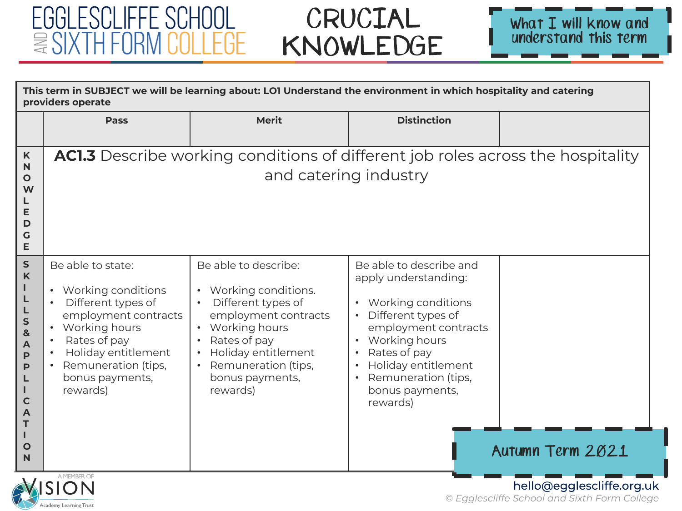Academy Learning Trust

# CRUCIAL KNOWLEDGE



| This term in SUBJECT we will be learning about: LO1 Understand the environment in which hospitality and catering<br>providers operate |                                                                                                                                                                                                         |                                                                                                                                                                                                         |                                                                                                                                                                                                                                                                          |                  |  |  |
|---------------------------------------------------------------------------------------------------------------------------------------|---------------------------------------------------------------------------------------------------------------------------------------------------------------------------------------------------------|---------------------------------------------------------------------------------------------------------------------------------------------------------------------------------------------------------|--------------------------------------------------------------------------------------------------------------------------------------------------------------------------------------------------------------------------------------------------------------------------|------------------|--|--|
|                                                                                                                                       | <b>Pass</b>                                                                                                                                                                                             | <b>Merit</b>                                                                                                                                                                                            | <b>Distinction</b>                                                                                                                                                                                                                                                       |                  |  |  |
| K<br>N<br>$\mathbf O$<br>W<br>E<br>D<br>G<br>E                                                                                        |                                                                                                                                                                                                         | <b>AC1.3</b> Describe working conditions of different job roles across the hospitality<br>and catering industry                                                                                         |                                                                                                                                                                                                                                                                          |                  |  |  |
| ${\sf S}$<br>$\mathsf{K}$<br>п<br>L<br>S<br>&<br>A<br>P<br>P<br>L<br>$\mathbf C$<br>A<br>т<br>п<br>$\mathbf O$<br>N                   | Be able to state:<br>• Working conditions<br>Different types of<br>employment contracts<br>• Working hours<br>Rates of pay<br>Holiday entitlement<br>Remuneration (tips,<br>bonus payments,<br>rewards) | Be able to describe:<br>Working conditions.<br>Different types of<br>employment contracts<br>Working hours<br>Rates of pay<br>Holiday entitlement<br>Remuneration (tips,<br>bonus payments,<br>rewards) | Be able to describe and<br>apply understanding:<br>Working conditions<br>$\bullet$<br>Different types of<br>employment contracts<br>Working hours<br>Rates of pay<br>Holiday entitlement<br>$\bullet$<br>Remuneration (tips,<br>$\bullet$<br>bonus payments,<br>rewards) | Autumn Term 2021 |  |  |
|                                                                                                                                       | A MEMBER OF<br>hello@egglescliffe.org.uk                                                                                                                                                                |                                                                                                                                                                                                         |                                                                                                                                                                                                                                                                          |                  |  |  |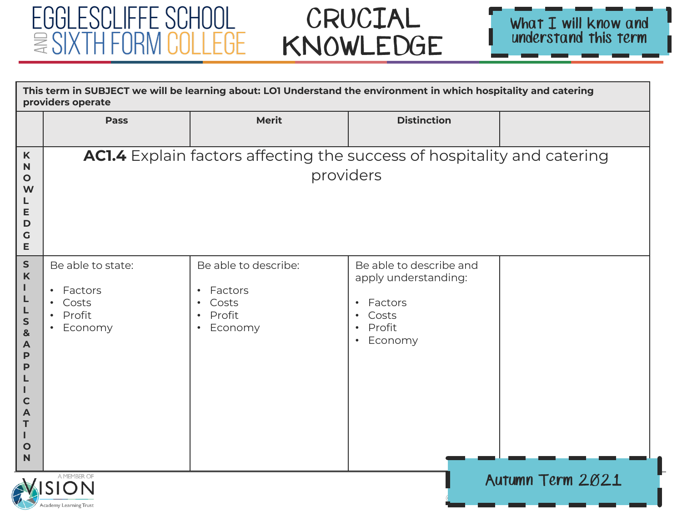



|                                                                                                                                    | This term in SUBJECT we will be learning about: LO1 Understand the environment in which hospitality and catering<br>providers operate |                                                                                                                   |                                                                                                                                              |  |  |  |
|------------------------------------------------------------------------------------------------------------------------------------|---------------------------------------------------------------------------------------------------------------------------------------|-------------------------------------------------------------------------------------------------------------------|----------------------------------------------------------------------------------------------------------------------------------------------|--|--|--|
|                                                                                                                                    | Pass                                                                                                                                  | <b>Merit</b>                                                                                                      | <b>Distinction</b>                                                                                                                           |  |  |  |
| K<br>N<br>$\mathbf{o}$<br>W<br>L<br>E<br>D<br>G<br>E                                                                               |                                                                                                                                       | AC1.4 Explain factors affecting the success of hospitality and catering<br>providers                              |                                                                                                                                              |  |  |  |
| ${\sf S}$<br>$\boldsymbol{\mathsf{K}}$<br>L<br>L<br>L<br>S<br>&<br>A<br>P<br>P<br>L<br>I.<br>$\mathbf C$<br>Α<br>т<br>L.<br>O<br>N | Be able to state:<br>Factors<br>$\bullet$<br>Costs<br>$\bullet$<br>Profit<br>$\bullet$<br>Economy                                     | Be able to describe:<br>Factors<br>$\bullet$<br>Costs<br>$\bullet$<br>Profit<br>$\bullet$<br>Economy<br>$\bullet$ | Be able to describe and<br>apply understanding:<br>Factors<br>$\bullet$<br>Costs<br>$\bullet$<br>Profit<br>$\bullet$<br>Economy<br>$\bullet$ |  |  |  |
|                                                                                                                                    | A MEMBER OF<br>Autumn Term 2021<br>Academy Learning Trust                                                                             |                                                                                                                   |                                                                                                                                              |  |  |  |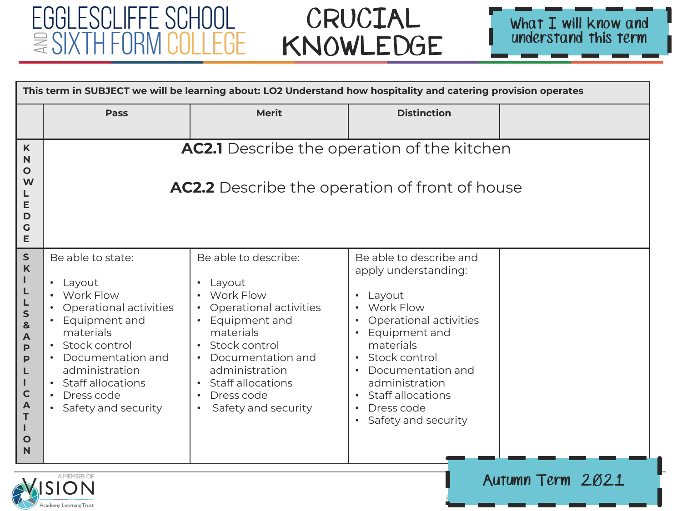#### EGGLESCLIFFE SCHOOL  $\equiv \text{SIXTH FORM COLLEGE}$

Academy Learning Trust

## CRUCIAL KNOWLEDGE



| This term in SUBJECT we will be learning about: LO2 Understand how hospitality and catering provision operates           |                                                                                                                                                                                                                                |                                                                                                                                                                                                                         |                                                                                                                                                                                                                                                                                                             |                  |
|--------------------------------------------------------------------------------------------------------------------------|--------------------------------------------------------------------------------------------------------------------------------------------------------------------------------------------------------------------------------|-------------------------------------------------------------------------------------------------------------------------------------------------------------------------------------------------------------------------|-------------------------------------------------------------------------------------------------------------------------------------------------------------------------------------------------------------------------------------------------------------------------------------------------------------|------------------|
|                                                                                                                          | <b>Pass</b>                                                                                                                                                                                                                    | <b>Merit</b>                                                                                                                                                                                                            | <b>Distinction</b>                                                                                                                                                                                                                                                                                          |                  |
| K<br>N<br>O<br>W<br>L<br>Е<br>D<br>G<br>E                                                                                |                                                                                                                                                                                                                                | AC2.1 Describe the operation of the kitchen<br><b>AC2.2</b> Describe the operation of front of house                                                                                                                    |                                                                                                                                                                                                                                                                                                             |                  |
| ${\sf S}$<br>K<br>L<br>L<br>S<br>$\mathbf{g}$<br>A<br>P<br>P<br>L<br>т<br>$\mathbf C$<br>A<br>T<br>т<br>$\mathbf O$<br>N | Be able to state:<br>• Layout<br>• Work Flow<br>Operational activities<br>Equipment and<br>materials<br>· Stock control<br>• Documentation and<br>administration<br>• Staff allocations<br>Dress code<br>• Safety and security | Be able to describe:<br>Layout<br>Work Flow<br>Operational activities<br>Equipment and<br>materials<br>Stock control<br>Documentation and<br>administration<br>• Staff allocations<br>Dress code<br>Safety and security | Be able to describe and<br>apply understanding:<br>Layout<br>$\bullet$<br>Work Flow<br>Operational activities<br>Equipment and<br>materials<br>Stock control<br>$\bullet$<br>Documentation and<br>administration<br><b>Staff allocations</b><br>Dress code<br>$\bullet$<br>Safety and security<br>$\bullet$ |                  |
|                                                                                                                          | A MEMBER OF                                                                                                                                                                                                                    |                                                                                                                                                                                                                         |                                                                                                                                                                                                                                                                                                             | Autumn Term 2021 |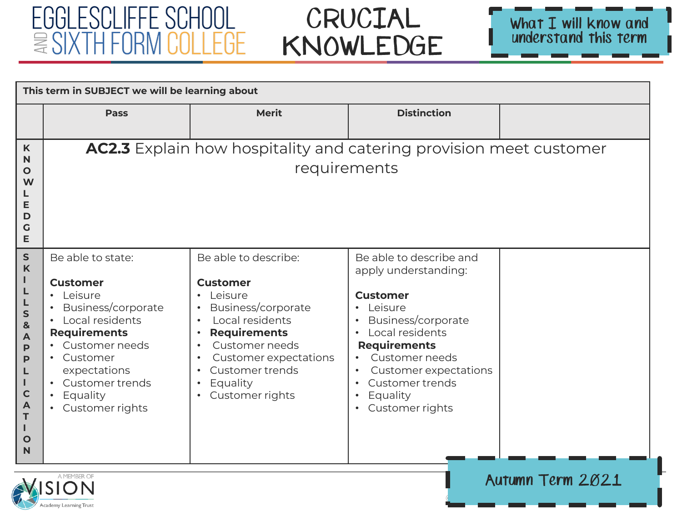# CRUCIAL KNOWLEDGE



| This term in SUBJECT we will be learning about                                                                         |                                                                                                                                                                                                                                           |                                                                                                                                                                                                                                                        |                                                                                                                                                                                                                                                                                                |                  |
|------------------------------------------------------------------------------------------------------------------------|-------------------------------------------------------------------------------------------------------------------------------------------------------------------------------------------------------------------------------------------|--------------------------------------------------------------------------------------------------------------------------------------------------------------------------------------------------------------------------------------------------------|------------------------------------------------------------------------------------------------------------------------------------------------------------------------------------------------------------------------------------------------------------------------------------------------|------------------|
|                                                                                                                        | <b>Pass</b>                                                                                                                                                                                                                               | <b>Merit</b>                                                                                                                                                                                                                                           | <b>Distinction</b>                                                                                                                                                                                                                                                                             |                  |
| K<br>N<br>Ο<br>W<br>Е<br>D<br>G<br>Е                                                                                   |                                                                                                                                                                                                                                           | <b>AC2.3</b> Explain how hospitality and catering provision meet customer<br>requirements                                                                                                                                                              |                                                                                                                                                                                                                                                                                                |                  |
| ${\sf S}$<br>$\boldsymbol{\mathsf{K}}$<br>S<br>&<br>A<br>P<br>P<br>L<br>Т<br>$\mathbf C$<br>A<br>T<br>$\mathbf O$<br>N | Be able to state:<br><b>Customer</b><br>Leisure<br>Business/corporate<br>Local residents<br><b>Requirements</b><br>Customer needs<br>Customer<br>$\bullet$<br>expectations<br>Customer trends<br>Equality<br>Customer rights<br>$\bullet$ | Be able to describe:<br><b>Customer</b><br>Leisure<br>Business/corporate<br>Local residents<br><b>Requirements</b><br>Customer needs<br>Customer expectations<br>$\bullet$<br>Customer trends<br>$\bullet$<br>Equality<br>Customer rights<br>$\bullet$ | Be able to describe and<br>apply understanding:<br><b>Customer</b><br>Leisure<br>$\bullet$<br>Business/corporate<br>Local residents<br>$\bullet$<br><b>Requirements</b><br>Customer needs<br>Customer expectations<br>Customer trends<br>Equality<br>$\bullet$<br>Customer rights<br>$\bullet$ |                  |
|                                                                                                                        | A MEMBER OF<br>SION                                                                                                                                                                                                                       |                                                                                                                                                                                                                                                        |                                                                                                                                                                                                                                                                                                | Autumn Term 2021 |

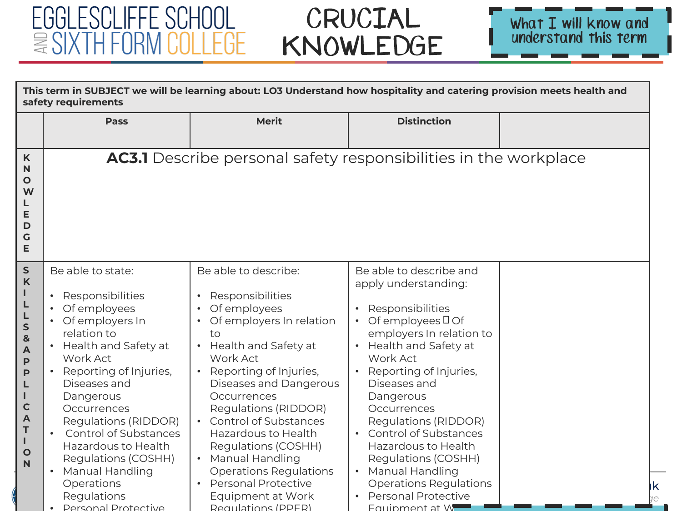

| This term in SUBJECT we will be learning about: LO3 Understand how hospitality and catering provision meets health and<br>safety requirements                                 |                                                                                                                                                                                                                                                                                                                                                                                                               |                                                                                                                                                                                                                                                                                                                                                                                                                                                                       |                                                                                                                                                                                                                                                                                                                                                                                                                                                            |  |
|-------------------------------------------------------------------------------------------------------------------------------------------------------------------------------|---------------------------------------------------------------------------------------------------------------------------------------------------------------------------------------------------------------------------------------------------------------------------------------------------------------------------------------------------------------------------------------------------------------|-----------------------------------------------------------------------------------------------------------------------------------------------------------------------------------------------------------------------------------------------------------------------------------------------------------------------------------------------------------------------------------------------------------------------------------------------------------------------|------------------------------------------------------------------------------------------------------------------------------------------------------------------------------------------------------------------------------------------------------------------------------------------------------------------------------------------------------------------------------------------------------------------------------------------------------------|--|
|                                                                                                                                                                               | <b>Pass</b>                                                                                                                                                                                                                                                                                                                                                                                                   | <b>Merit</b>                                                                                                                                                                                                                                                                                                                                                                                                                                                          | <b>Distinction</b>                                                                                                                                                                                                                                                                                                                                                                                                                                         |  |
| K<br>$\mathsf{N}$<br>O<br>W<br>L<br>E<br>D<br>G<br>E                                                                                                                          |                                                                                                                                                                                                                                                                                                                                                                                                               | <b>AC3.1</b> Describe personal safety responsibilities in the workplace                                                                                                                                                                                                                                                                                                                                                                                               |                                                                                                                                                                                                                                                                                                                                                                                                                                                            |  |
| ${\sf S}$<br>$\mathsf{K}$<br>т<br>L<br>L<br>$\mathsf{s}$<br>&<br>$\blacktriangle$<br>P<br>$\mathbf{P}$<br>L<br>н<br>$\mathbf C$<br>A<br>T<br>т<br>$\mathbf{o}$<br>$\mathbb N$ | Be able to state:<br>Responsibilities<br>Of employees<br>• Of employers In<br>relation to<br>• Health and Safety at<br><b>Work Act</b><br>Reporting of Injuries,<br>Diseases and<br>Dangerous<br>Occurrences<br>Regulations (RIDDOR)<br><b>Control of Substances</b><br>$\bullet$<br>Hazardous to Health<br>Regulations (COSHH)<br>Manual Handling<br>Operations<br>Regulations<br><b>Personal Protective</b> | Be able to describe:<br>Responsibilities<br>Of employees<br>Of employers In relation<br>to<br>Health and Safety at<br>Work Act<br>Reporting of Injuries,<br>$\bullet$<br>Diseases and Dangerous<br>Occurrences<br>Regulations (RIDDOR)<br><b>Control of Substances</b><br>Hazardous to Health<br>Regulations (COSHH)<br><b>Manual Handling</b><br>$\bullet$<br><b>Operations Regulations</b><br><b>Personal Protective</b><br>Equipment at Work<br>Requlations (PPFR) | Be able to describe and<br>apply understanding:<br>Responsibilities<br>$\bullet$<br>Of employees $\Box$ Of<br>employers In relation to<br>Health and Safety at<br>Work Act<br>Reporting of Injuries,<br>Diseases and<br>Dangerous<br>Occurrences<br>Regulations (RIDDOR)<br><b>Control of Substances</b><br>Hazardous to Health<br>Regulations (COSHH)<br>Manual Handling<br><b>Operations Regulations</b><br><b>Personal Protective</b><br>Fauipment at W |  |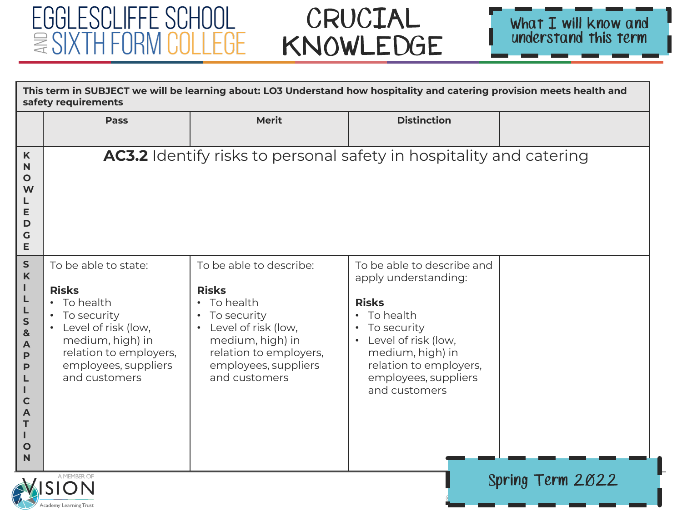

| This term in SUBJECT we will be learning about: LO3 Understand how hospitality and catering provision meets health and<br>safety requirements |                                                                                                                                                                                               |                                                                                                                                                                                                                          |                                                                                                                                                                                                                  |  |  |
|-----------------------------------------------------------------------------------------------------------------------------------------------|-----------------------------------------------------------------------------------------------------------------------------------------------------------------------------------------------|--------------------------------------------------------------------------------------------------------------------------------------------------------------------------------------------------------------------------|------------------------------------------------------------------------------------------------------------------------------------------------------------------------------------------------------------------|--|--|
|                                                                                                                                               | Pass                                                                                                                                                                                          | <b>Merit</b>                                                                                                                                                                                                             | <b>Distinction</b>                                                                                                                                                                                               |  |  |
| $\boldsymbol{\mathsf{K}}$<br>N<br>$\mathbf O$<br>W<br>Е<br>D<br>G<br>E                                                                        |                                                                                                                                                                                               | AC3.2 Identify risks to personal safety in hospitality and catering                                                                                                                                                      |                                                                                                                                                                                                                  |  |  |
| ${\sf S}$<br>$\mathsf K$<br>S<br>&<br>A<br>P<br>P<br>C<br>A<br>T<br>$\mathbf O$<br>N                                                          | To be able to state:<br><b>Risks</b><br>• To health<br>To security<br>Level of risk (low,<br>$\bullet$<br>medium, high) in<br>relation to employers,<br>employees, suppliers<br>and customers | To be able to describe:<br><b>Risks</b><br>To health<br>$\bullet$<br>To security<br>$\bullet$<br>Level of risk (low,<br>$\bullet$<br>medium, high) in<br>relation to employers,<br>employees, suppliers<br>and customers | To be able to describe and<br>apply understanding:<br><b>Risks</b><br>• To health<br>• To security<br>Level of risk (low,<br>medium, high) in<br>relation to employers,<br>employees, suppliers<br>and customers |  |  |
|                                                                                                                                               | A MEMBER OF<br>Spring Term 2022<br>Academy Learning Trust                                                                                                                                     |                                                                                                                                                                                                                          |                                                                                                                                                                                                                  |  |  |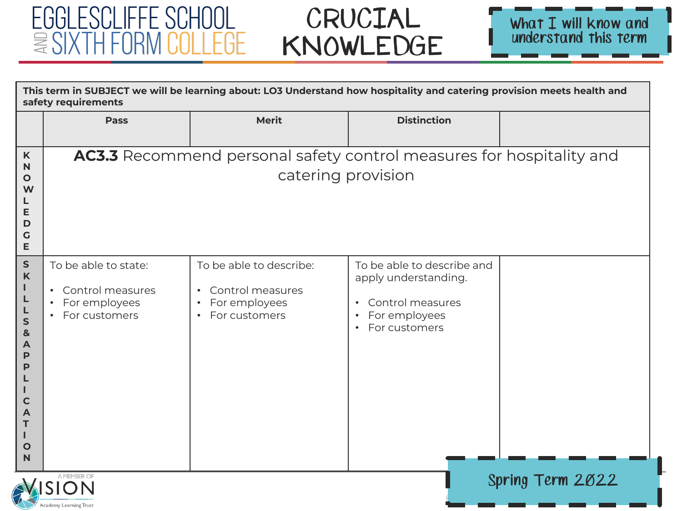



| This term in SUBJECT we will be learning about: LO3 Understand how hospitality and catering provision meets health and<br>safety requirements |                                                                                           |                                                                                                         |                                                                                                                                                 |  |  |
|-----------------------------------------------------------------------------------------------------------------------------------------------|-------------------------------------------------------------------------------------------|---------------------------------------------------------------------------------------------------------|-------------------------------------------------------------------------------------------------------------------------------------------------|--|--|
|                                                                                                                                               | <b>Pass</b>                                                                               | <b>Merit</b>                                                                                            | <b>Distinction</b>                                                                                                                              |  |  |
| $\boldsymbol{\mathsf{K}}$<br>N<br>$\mathbf O$<br>W<br>E<br>D<br>$\mathbf G$<br>E                                                              |                                                                                           | <b>AC3.3</b> Recommend personal safety control measures for hospitality and<br>catering provision       |                                                                                                                                                 |  |  |
| ${\sf S}$<br>K<br>ı<br>L<br>S<br>$\mathbf{g}$<br>A<br>P<br>P<br>$\mathbf C$<br>A<br>Т<br>O<br>N                                               | To be able to state:<br>• Control measures<br>For employees<br>For customers<br>$\bullet$ | To be able to describe:<br>Control measures<br>$\bullet$<br>For employees<br>$\bullet$<br>For customers | To be able to describe and<br>apply understanding.<br>Control measures<br>$\bullet$<br>For employees<br>$\bullet$<br>For customers<br>$\bullet$ |  |  |
|                                                                                                                                               | Spring Term 2022<br>Academy Learning Trust                                                |                                                                                                         |                                                                                                                                                 |  |  |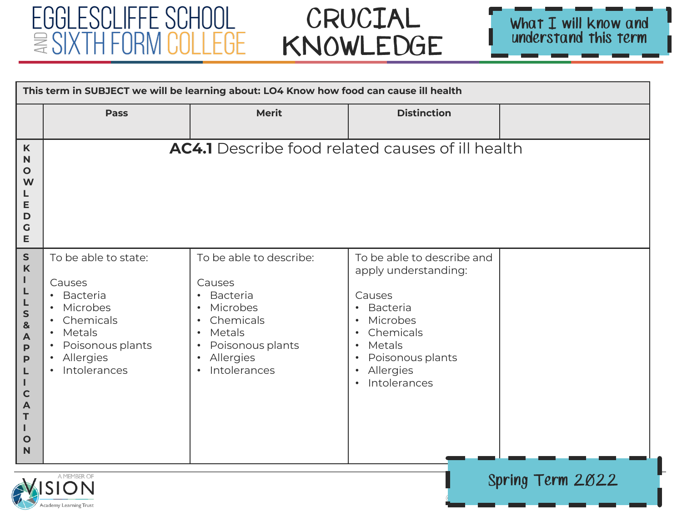**PIDIL** Academy Learning Trust

## CRUCIAL KNOWLEDGE



| This term in SUBJECT we will be learning about: LO4 Know how food can cause ill health                      |                                                                                                                                                                                                                     |                                                                                                                                                                                                                                     |                                                                                                                                                                                                                                                         |                  |
|-------------------------------------------------------------------------------------------------------------|---------------------------------------------------------------------------------------------------------------------------------------------------------------------------------------------------------------------|-------------------------------------------------------------------------------------------------------------------------------------------------------------------------------------------------------------------------------------|---------------------------------------------------------------------------------------------------------------------------------------------------------------------------------------------------------------------------------------------------------|------------------|
|                                                                                                             | <b>Pass</b>                                                                                                                                                                                                         | <b>Merit</b>                                                                                                                                                                                                                        | <b>Distinction</b>                                                                                                                                                                                                                                      |                  |
| K<br>N<br>$\mathbf O$<br>W<br>L<br>E<br>D<br>G<br>Е                                                         |                                                                                                                                                                                                                     | <b>AC4.1</b> Describe food related causes of ill health                                                                                                                                                                             |                                                                                                                                                                                                                                                         |                  |
| S<br>K<br>L<br>L<br>L<br>S<br>&<br>A<br>P<br>P<br>L<br>$\mathbf{I}$<br>$\mathbf C$<br>A<br>T<br>L<br>O<br>N | To be able to state:<br>Causes<br><b>Bacteria</b><br>$\bullet$<br>Microbes<br>Chemicals<br>$\bullet$<br>Metals<br>$\bullet$<br>Poisonous plants<br>$\bullet$<br>Allergies<br>$\bullet$<br>Intolerances<br>$\bullet$ | To be able to describe:<br>Causes<br><b>Bacteria</b><br>$\bullet$<br>Microbes<br>$\bullet$<br>Chemicals<br>$\bullet$<br>Metals<br>$\bullet$<br>Poisonous plants<br>$\bullet$<br>Allergies<br>$\bullet$<br>Intolerances<br>$\bullet$ | To be able to describe and<br>apply understanding:<br>Causes<br>Bacteria<br>$\bullet$<br>Microbes<br>$\bullet$<br>Chemicals<br>$\bullet$<br>Metals<br>$\bullet$<br>Poisonous plants<br>$\bullet$<br>Allergies<br>$\bullet$<br>Intolerances<br>$\bullet$ |                  |
|                                                                                                             | A MEMBER OF<br>WISION                                                                                                                                                                                               |                                                                                                                                                                                                                                     |                                                                                                                                                                                                                                                         | Spring Term 2022 |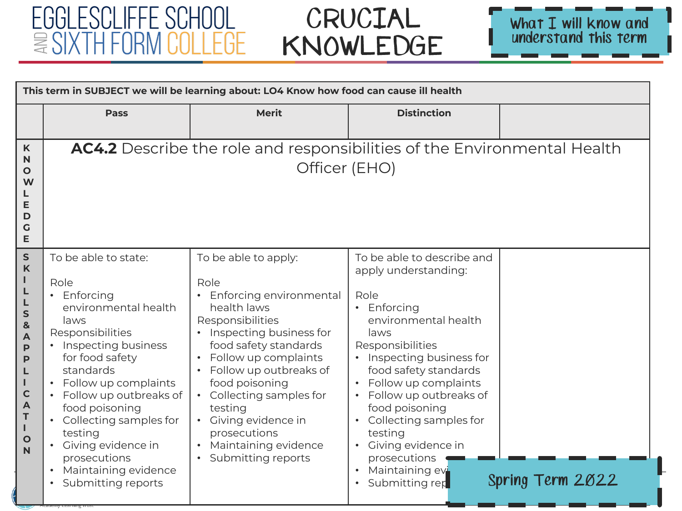

| This term in SUBJECT we will be learning about: LO4 Know how food can cause ill health                                   |                                                                                                                                                                                                                                                                                                                                                                   |                                                                                                                                                                                                                                                                                                                                                                  |                                                                                                                                                                                                                                                                                                                                                                                   |                  |
|--------------------------------------------------------------------------------------------------------------------------|-------------------------------------------------------------------------------------------------------------------------------------------------------------------------------------------------------------------------------------------------------------------------------------------------------------------------------------------------------------------|------------------------------------------------------------------------------------------------------------------------------------------------------------------------------------------------------------------------------------------------------------------------------------------------------------------------------------------------------------------|-----------------------------------------------------------------------------------------------------------------------------------------------------------------------------------------------------------------------------------------------------------------------------------------------------------------------------------------------------------------------------------|------------------|
|                                                                                                                          | <b>Pass</b>                                                                                                                                                                                                                                                                                                                                                       | <b>Merit</b>                                                                                                                                                                                                                                                                                                                                                     | <b>Distinction</b>                                                                                                                                                                                                                                                                                                                                                                |                  |
| $\mathsf{K}$<br>N<br>Ο<br>W<br>E<br>D<br>G<br>E                                                                          |                                                                                                                                                                                                                                                                                                                                                                   | AC4.2 Describe the role and responsibilities of the Environmental Health<br>Officer (EHO)                                                                                                                                                                                                                                                                        |                                                                                                                                                                                                                                                                                                                                                                                   |                  |
| ${\sf S}$<br>K<br>L<br>S<br>&<br>A<br>P<br>P<br>L<br>т<br>$\mathbf C$<br>$\blacktriangle$<br>T<br>L<br>$\mathbf{o}$<br>N | To be able to state:<br>Role<br>• Enforcing<br>environmental health<br>laws<br>Responsibilities<br>• Inspecting business<br>for food safety<br>standards<br>• Follow up complaints<br>• Follow up outbreaks of<br>food poisoning<br>• Collecting samples for<br>testing<br>• Giving evidence in<br>prosecutions<br>• Maintaining evidence<br>• Submitting reports | To be able to apply:<br>Role<br>• Enforcing environmental<br>health laws<br>Responsibilities<br>• Inspecting business for<br>food safety standards<br>Follow up complaints<br>$\bullet$<br>Follow up outbreaks of<br>food poisoning<br>• Collecting samples for<br>testing<br>• Giving evidence in<br>prosecutions<br>Maintaining evidence<br>Submitting reports | To be able to describe and<br>apply understanding:<br>Role<br>• Enforcing<br>environmental health<br>laws<br>Responsibilities<br>Inspecting business for<br>food safety standards<br>Follow up complaints<br>Follow up outbreaks of<br>food poisoning<br>Collecting samples for<br>testing<br>Giving evidence in<br>prosecutions<br>Maintaining ev<br>Submitting rep<br>$\bullet$ | Spring Term 2022 |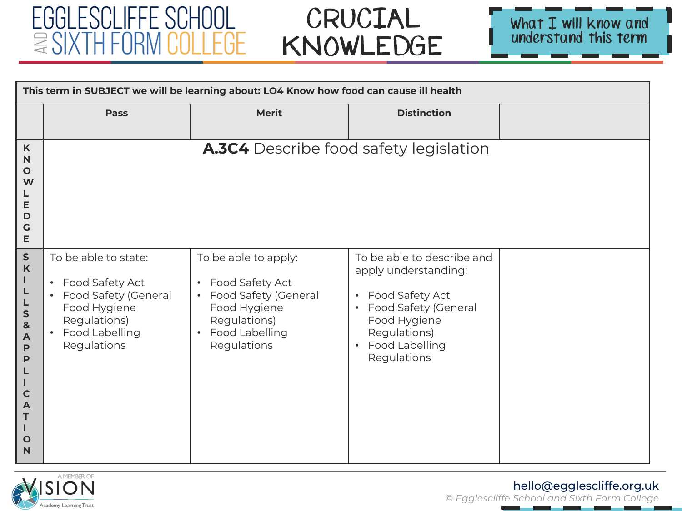# CRUCIAL KNOWLEDGE



| This term in SUBJECT we will be learning about: LO4 Know how food can cause ill health                                                              |                                                                                                                                                   |                                                                                                                                                                         |                                                                                                                                                                      |  |
|-----------------------------------------------------------------------------------------------------------------------------------------------------|---------------------------------------------------------------------------------------------------------------------------------------------------|-------------------------------------------------------------------------------------------------------------------------------------------------------------------------|----------------------------------------------------------------------------------------------------------------------------------------------------------------------|--|
|                                                                                                                                                     | <b>Pass</b>                                                                                                                                       | <b>Merit</b>                                                                                                                                                            | <b>Distinction</b>                                                                                                                                                   |  |
| K<br>$\mathbf N$<br>$\mathbf{o}$<br>W<br>L<br>E<br>D<br>$\mathsf{G}$<br>E                                                                           |                                                                                                                                                   | <b>A.3C4</b> Describe food safety legislation                                                                                                                           |                                                                                                                                                                      |  |
| $\sf S$<br>$\boldsymbol{\mathsf{K}}$<br>Т<br>L<br>L<br>S<br>$\mathbf{8}$<br>A<br>P<br>P<br>L<br>т<br>$\mathbf C$<br>A<br>т<br>Ш<br>$\mathbf O$<br>N | To be able to state:<br>Food Safety Act<br>$\bullet$<br>• Food Safety (General<br>Food Hygiene<br>Regulations)<br>• Food Labelling<br>Regulations | To be able to apply:<br>Food Safety Act<br>$\bullet$<br>Food Safety (General<br>$\bullet$<br>Food Hygiene<br>Regulations)<br>Food Labelling<br>$\bullet$<br>Regulations | To be able to describe and<br>apply understanding:<br>• Food Safety Act<br>• Food Safety (General<br>Food Hygiene<br>Regulations)<br>• Food Labelling<br>Regulations |  |



#### hello@egglescliffe.org.uk

\_\_\_\_\_\_\_\_\_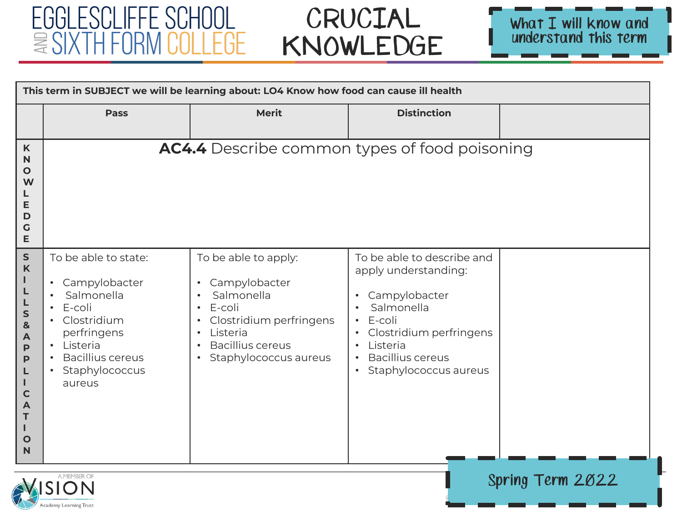Academy Learning Trust

# CRUCIAL KNOWLEDGE



|                                                                                                                 | This term in SUBJECT we will be learning about: LO4 Know how food can cause ill health                                                                                                                             |                                                                                                                                                                                                                           |                                                                                                                                                                                                                                                                      |  |  |
|-----------------------------------------------------------------------------------------------------------------|--------------------------------------------------------------------------------------------------------------------------------------------------------------------------------------------------------------------|---------------------------------------------------------------------------------------------------------------------------------------------------------------------------------------------------------------------------|----------------------------------------------------------------------------------------------------------------------------------------------------------------------------------------------------------------------------------------------------------------------|--|--|
|                                                                                                                 | <b>Pass</b>                                                                                                                                                                                                        | <b>Merit</b>                                                                                                                                                                                                              | <b>Distinction</b>                                                                                                                                                                                                                                                   |  |  |
| $\boldsymbol{\mathsf{K}}$<br>N<br>O<br>W<br>Е<br>D<br>G<br>E                                                    |                                                                                                                                                                                                                    | <b>AC4.4</b> Describe common types of food poisoning                                                                                                                                                                      |                                                                                                                                                                                                                                                                      |  |  |
| ${\sf S}$<br>$\mathsf{K}$<br>S<br>&<br>A<br>$\mathsf{P}$<br>P<br>L<br>$\mathbf C$<br>A<br>т<br>$\mathbf O$<br>N | To be able to state:<br>Campylobacter<br>$\bullet$<br>Salmonella<br>E-coli<br>$\bullet$<br>Clostridium<br>perfringens<br>Listeria<br>$\bullet$<br><b>Bacillius cereus</b><br>Staphylococcus<br>$\bullet$<br>aureus | To be able to apply:<br>Campylobacter<br>$\bullet$<br>Salmonella<br>E-coli<br>$\bullet$<br>Clostridium perfringens<br>$\bullet$<br>Listeria<br>$\bullet$<br><b>Bacillius cereus</b><br>Staphylococcus aureus<br>$\bullet$ | To be able to describe and<br>apply understanding:<br>Campylobacter<br>$\bullet$<br>Salmonella<br>$\bullet$<br>E-coli<br>$\bullet$<br>Clostridium perfringens<br>$\bullet$<br>Listeria<br>$\bullet$<br><b>Bacillius cereus</b><br>Staphylococcus aureus<br>$\bullet$ |  |  |
|                                                                                                                 | A MEMBER OF<br>Spring Term 2022<br><b>MISION</b>                                                                                                                                                                   |                                                                                                                                                                                                                           |                                                                                                                                                                                                                                                                      |  |  |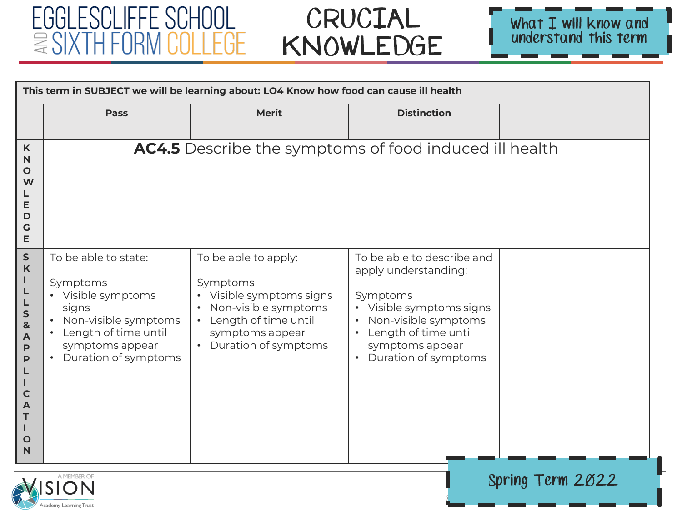# CRUCIAL KNOWLEDGE



|                                                                                                                               | This term in SUBJECT we will be learning about: LO4 Know how food can cause ill health                                                                                  |                                                                                                                                                                                 |                                                                                                                                                                                                  |  |  |
|-------------------------------------------------------------------------------------------------------------------------------|-------------------------------------------------------------------------------------------------------------------------------------------------------------------------|---------------------------------------------------------------------------------------------------------------------------------------------------------------------------------|--------------------------------------------------------------------------------------------------------------------------------------------------------------------------------------------------|--|--|
|                                                                                                                               | <b>Pass</b>                                                                                                                                                             | <b>Merit</b>                                                                                                                                                                    | <b>Distinction</b>                                                                                                                                                                               |  |  |
| K<br>N<br>O<br>W<br>Е<br>D<br>G<br>Е                                                                                          |                                                                                                                                                                         | <b>AC4.5</b> Describe the symptoms of food induced ill health                                                                                                                   |                                                                                                                                                                                                  |  |  |
| ${\sf S}$<br>$\boldsymbol{\mathsf{K}}$<br>S<br>&<br>A<br>$\mathsf{P}$<br>$\mathsf{P}$<br>L<br>$\mathbf C$<br>A<br>т<br>O<br>N | To be able to state:<br>Symptoms<br>• Visible symptoms<br>signs<br>Non-visible symptoms<br>Length of time until<br>symptoms appear<br>Duration of symptoms<br>$\bullet$ | To be able to apply:<br>Symptoms<br>Visible symptoms signs<br>Non-visible symptoms<br>Length of time until<br>$\bullet$<br>symptoms appear<br>Duration of symptoms<br>$\bullet$ | To be able to describe and<br>apply understanding:<br>Symptoms<br>Visible symptoms signs<br>Non-visible symptoms<br>Length of time until<br>symptoms appear<br>Duration of symptoms<br>$\bullet$ |  |  |
|                                                                                                                               | A MEMBER OF<br>Spring Term 2022                                                                                                                                         |                                                                                                                                                                                 |                                                                                                                                                                                                  |  |  |

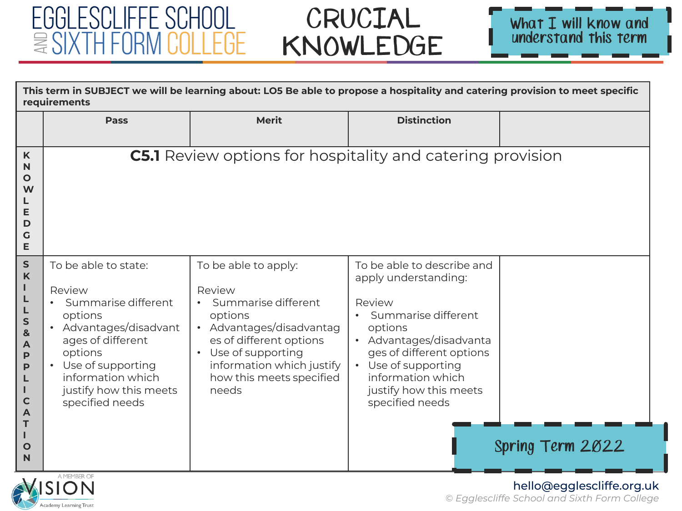Academy Learning Trust

# CRUCIAL KNOWLEDGE



|                                                                                                                                        | This term in SUBJECT we will be learning about: LO5 Be able to propose a hospitality and catering provision to meet specific<br>requirements                                                                                       |                                                                                                                                                                                                                             |                                                                                                                                                                                                                                                         |                  |
|----------------------------------------------------------------------------------------------------------------------------------------|------------------------------------------------------------------------------------------------------------------------------------------------------------------------------------------------------------------------------------|-----------------------------------------------------------------------------------------------------------------------------------------------------------------------------------------------------------------------------|---------------------------------------------------------------------------------------------------------------------------------------------------------------------------------------------------------------------------------------------------------|------------------|
|                                                                                                                                        | <b>Pass</b>                                                                                                                                                                                                                        | <b>Merit</b>                                                                                                                                                                                                                | <b>Distinction</b>                                                                                                                                                                                                                                      |                  |
| K<br>N<br>O<br>W<br>Е<br>D<br>G<br>Е                                                                                                   |                                                                                                                                                                                                                                    | <b>C5.1</b> Review options for hospitality and catering provision                                                                                                                                                           |                                                                                                                                                                                                                                                         |                  |
| $\mathsf{s}$<br>K<br>ı<br>L<br>L<br>S<br>$\mathbf{g}$<br>A<br>$\mathsf{P}$<br>P<br>L<br>п<br>$\mathbf C$<br>A<br>Т<br>$\mathbf O$<br>N | To be able to state:<br>Review<br>Summarise different<br>options<br>• Advantages/disadvant<br>ages of different<br>options<br>• Use of supporting<br>information which<br>justify how this meets<br>specified needs<br>A MEMBER OF | To be able to apply:<br>Review<br>Summarise different<br>options<br>• Advantages/disadvantag<br>es of different options<br>Use of supporting<br>$\bullet$<br>information which justify<br>how this meets specified<br>needs | To be able to describe and<br>apply understanding:<br>Review<br>Summarise different<br>$\bullet$<br>options<br>Advantages/disadvanta<br>ges of different options<br>Use of supporting<br>information which<br>justify how this meets<br>specified needs | Spring Term 2022 |

#### hello@egglescliffe.org.uk *© Egglescliffe School and Sixth Form College*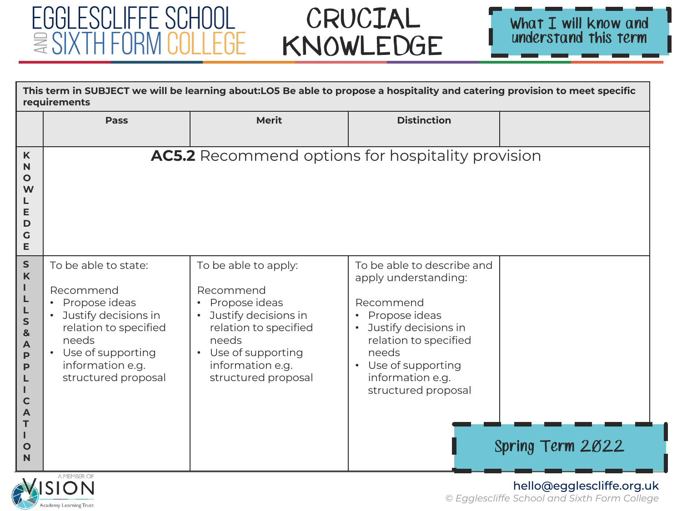#### EGGLESCLIFFE SCHOOL  $\equiv$  SIXTH FORN :01 LEGE

# CRUCIAL KNOWLEDGE



|                                                                                                                                     | This term in SUBJECT we will be learning about:LO5 Be able to propose a hospitality and catering provision to meet specific<br>requirements                                                   |                                                                                                                                                                                  |                                                                                                                                                                                                                                                   |                  |  |
|-------------------------------------------------------------------------------------------------------------------------------------|-----------------------------------------------------------------------------------------------------------------------------------------------------------------------------------------------|----------------------------------------------------------------------------------------------------------------------------------------------------------------------------------|---------------------------------------------------------------------------------------------------------------------------------------------------------------------------------------------------------------------------------------------------|------------------|--|
|                                                                                                                                     | <b>Pass</b>                                                                                                                                                                                   | <b>Merit</b>                                                                                                                                                                     | <b>Distinction</b>                                                                                                                                                                                                                                |                  |  |
| K<br>$\mathsf{N}$<br>O<br>W<br>Е<br>D<br>G<br>E                                                                                     |                                                                                                                                                                                               | AC5.2 Recommend options for hospitality provision                                                                                                                                |                                                                                                                                                                                                                                                   |                  |  |
| ${\sf S}$<br>$\mathsf K$<br>L<br>L<br>L<br>$\mathsf{s}$<br>&<br>A<br>$\mathsf{P}$<br>P<br>$\mathbf C$<br>A<br>т<br>$\mathbf O$<br>N | To be able to state:<br>Recommend<br>Propose ideas<br>$\bullet$<br>• Justify decisions in<br>relation to specified<br>needs<br>• Use of supporting<br>information e.g.<br>structured proposal | To be able to apply:<br>Recommend<br>• Propose ideas<br>Justify decisions in<br>relation to specified<br>needs<br>• Use of supporting<br>information e.g.<br>structured proposal | To be able to describe and<br>apply understanding:<br>Recommend<br>Propose ideas<br>$\bullet$<br>Justify decisions in<br>$\bullet$<br>relation to specified<br>needs<br>Use of supporting<br>$\bullet$<br>information e.g.<br>structured proposal | Spring Term 2022 |  |



#### hello@egglescliffe.org.uk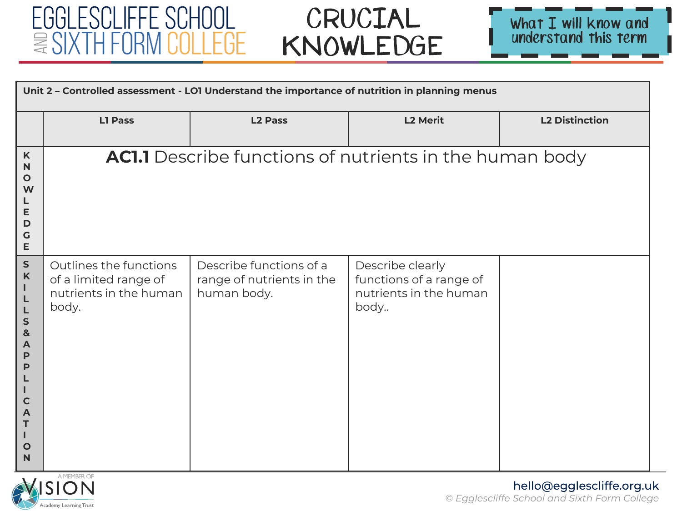



|                                                                                                                                                         | Unit 2 - Controlled assessment - LO1 Understand the importance of nutrition in planning menus |                                                                     |                                                                               |                       |  |
|---------------------------------------------------------------------------------------------------------------------------------------------------------|-----------------------------------------------------------------------------------------------|---------------------------------------------------------------------|-------------------------------------------------------------------------------|-----------------------|--|
|                                                                                                                                                         | <b>L1 Pass</b>                                                                                | <b>L2 Pass</b>                                                      | <b>L2 Merit</b>                                                               | <b>L2 Distinction</b> |  |
| $\mathsf K$<br>N<br>$\mathbf{o}$<br>W<br>E<br>$\mathbf D$<br>G<br>E                                                                                     |                                                                                               | <b>AC1.1</b> Describe functions of nutrients in the human body      |                                                                               |                       |  |
| ${\sf s}$<br>$\boldsymbol{\mathsf{K}}$<br>L<br>L<br>L<br>$\mathsf{s}$<br>8<br>A<br>P<br>P<br>Т<br>$\mathbf C$<br>$\mathbf{A}$<br>T<br>$\mathbf{o}$<br>N | Outlines the functions<br>of a limited range of<br>nutrients in the human<br>body.            | Describe functions of a<br>range of nutrients in the<br>human body. | Describe clearly<br>functions of a range of<br>nutrients in the human<br>body |                       |  |

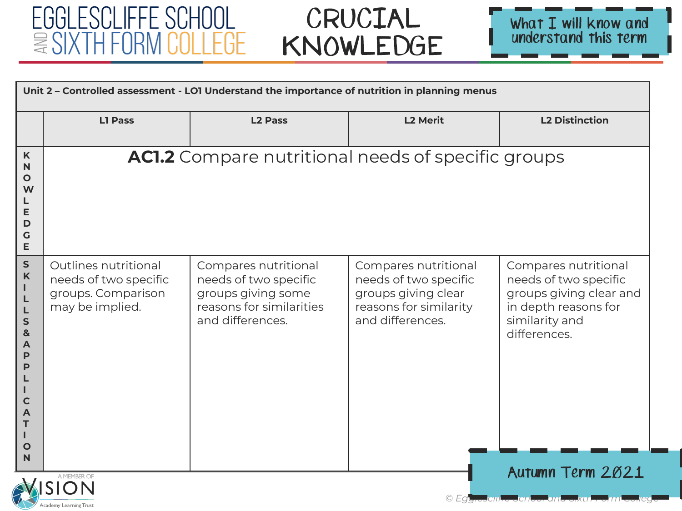



|                                                                                                                  | Unit 2 - Controlled assessment - LOI Understand the importance of nutrition in planning menus                                     |                                                                                                                     |                                                                                                                    |                                                                                                                                    |  |
|------------------------------------------------------------------------------------------------------------------|-----------------------------------------------------------------------------------------------------------------------------------|---------------------------------------------------------------------------------------------------------------------|--------------------------------------------------------------------------------------------------------------------|------------------------------------------------------------------------------------------------------------------------------------|--|
|                                                                                                                  | <b>L1 Pass</b>                                                                                                                    | <b>L2 Pass</b>                                                                                                      | <b>L2 Merit</b>                                                                                                    | <b>L2 Distinction</b>                                                                                                              |  |
| K<br>N<br>$\mathbf{o}$<br>W<br>Е<br>D<br>$\mathsf{G}$<br>E                                                       |                                                                                                                                   | <b>AC1.2</b> Compare nutritional needs of specific groups                                                           |                                                                                                                    |                                                                                                                                    |  |
| $\mathsf S$<br>$\mathbf K$<br>т<br>L<br>L<br>$\mathsf{S}$<br>8<br>A<br>P<br>P<br>$\mathbf C$<br>A<br>Т<br>O<br>N | Outlines nutritional<br>needs of two specific<br>groups. Comparison<br>may be implied.                                            | Compares nutritional<br>needs of two specific<br>groups giving some<br>reasons for similarities<br>and differences. | Compares nutritional<br>needs of two specific<br>groups giving clear<br>reasons for similarity<br>and differences. | Compares nutritional<br>needs of two specific<br>groups giving clear and<br>in depth reasons for<br>similarity and<br>differences. |  |
|                                                                                                                  | Autumn Term 2021<br>A MEMBER O<br>© Egy <del>res</del> cin <del>'re Schoor and Sixth Form college</del><br>Academy Learning Trust |                                                                                                                     |                                                                                                                    |                                                                                                                                    |  |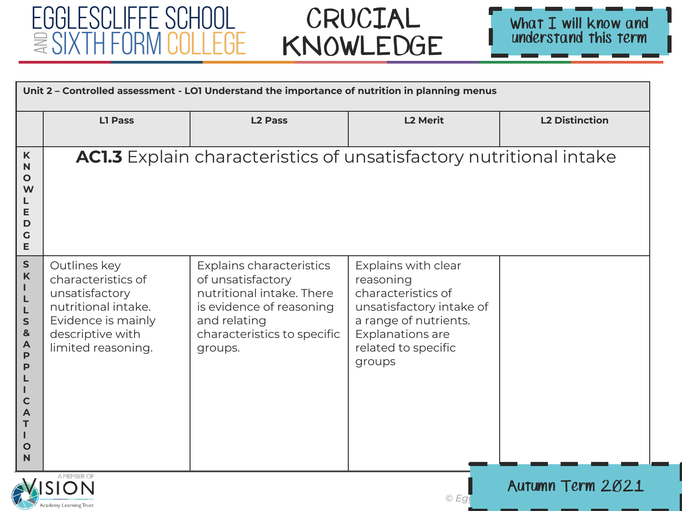

Academy Learning Trust

#### CRUCIAL KNOWLEDGE



|                                                                                                                                           | Unit 2 - Controlled assessment - LO1 Understand the importance of nutrition in planning menus                                               |                                                                                                                                                                  |                                                                                                                                                                  |                       |  |
|-------------------------------------------------------------------------------------------------------------------------------------------|---------------------------------------------------------------------------------------------------------------------------------------------|------------------------------------------------------------------------------------------------------------------------------------------------------------------|------------------------------------------------------------------------------------------------------------------------------------------------------------------|-----------------------|--|
|                                                                                                                                           | L1 Pass                                                                                                                                     | <b>L2 Pass</b>                                                                                                                                                   | <b>L2 Merit</b>                                                                                                                                                  | <b>L2 Distinction</b> |  |
| K<br>$\mathbb N$<br>$\mathbf{o}$<br>W<br>E<br>D<br>$\mathbf G$<br>E                                                                       |                                                                                                                                             | <b>AC1.3</b> Explain characteristics of unsatisfactory nutritional intake                                                                                        |                                                                                                                                                                  |                       |  |
| ${\sf S}$<br>$\mathsf K$<br>L<br>L<br>L<br>$\sf S$<br>$\mathbf{g}$<br>A<br>$\mathsf{P}$<br>P<br>$\mathbf C$<br>A<br>Τ<br>$\mathbf O$<br>N | Outlines key<br>characteristics of<br>unsatisfactory<br>nutritional intake.<br>Evidence is mainly<br>descriptive with<br>limited reasoning. | Explains characteristics<br>of unsatisfactory<br>nutritional intake. There<br>is evidence of reasoning<br>and relating<br>characteristics to specific<br>groups. | Explains with clear<br>reasoning<br>characteristics of<br>unsatisfactory intake of<br>a range of nutrients.<br>Explanations are<br>related to specific<br>groups |                       |  |
|                                                                                                                                           | A MEMBER OF<br><b>VISION</b><br>Autumn Term 2021                                                                                            |                                                                                                                                                                  |                                                                                                                                                                  |                       |  |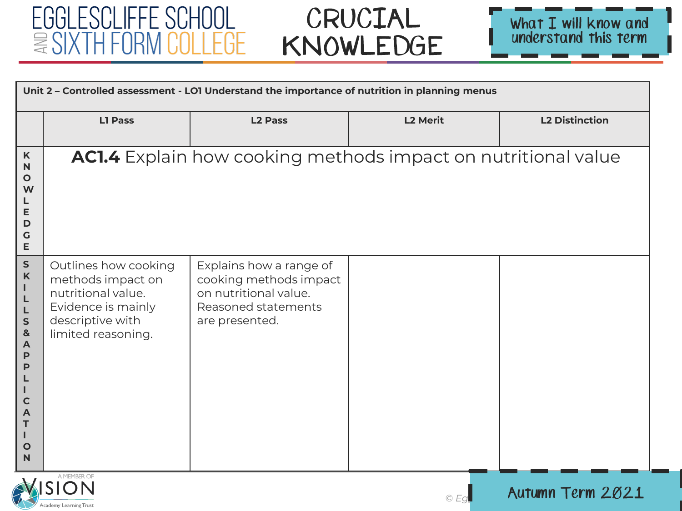

Academy Learning Trust



|                                                                                                                              |                                                                                                                                 | Unit 2 - Controlled assessment - LOI Understand the importance of nutrition in planning menus                       |                 |                       |  |  |
|------------------------------------------------------------------------------------------------------------------------------|---------------------------------------------------------------------------------------------------------------------------------|---------------------------------------------------------------------------------------------------------------------|-----------------|-----------------------|--|--|
|                                                                                                                              | <b>L1 Pass</b>                                                                                                                  | <b>L2 Pass</b>                                                                                                      | <b>L2 Merit</b> | <b>L2 Distinction</b> |  |  |
| K<br>N<br>$\mathbf{o}$<br>W<br>Е<br>D<br>G<br>E                                                                              |                                                                                                                                 | AC1.4 Explain how cooking methods impact on nutritional value                                                       |                 |                       |  |  |
| ${\sf s}$<br>$\boldsymbol{\mathsf{K}}$<br>L<br>L<br>${\sf s}$<br>$\pmb{8}$<br>A<br>P<br>P<br>C<br>A<br>т<br>$\mathbf O$<br>N | Outlines how cooking<br>methods impact on<br>nutritional value.<br>Evidence is mainly<br>descriptive with<br>limited reasoning. | Explains how a range of<br>cooking methods impact<br>on nutritional value.<br>Reasoned statements<br>are presented. |                 |                       |  |  |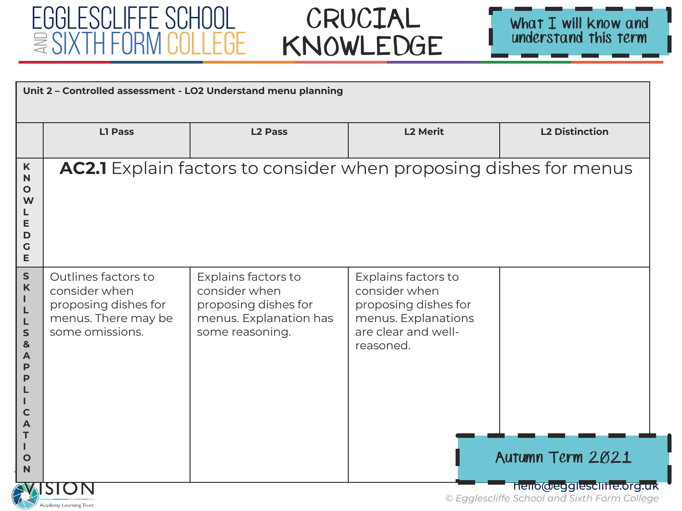



| Unit 2 - Controlled assessment - LO2 Understand menu planning                                             |                                                                                                        |                                                                                                           |                                                                                                                         |                       |  |
|-----------------------------------------------------------------------------------------------------------|--------------------------------------------------------------------------------------------------------|-----------------------------------------------------------------------------------------------------------|-------------------------------------------------------------------------------------------------------------------------|-----------------------|--|
|                                                                                                           | <b>L1 Pass</b>                                                                                         | <b>L2 Pass</b>                                                                                            | <b>L2 Merit</b>                                                                                                         | <b>L2 Distinction</b> |  |
| $\mathsf K$<br>N<br>O<br>W<br>E<br>D<br>G<br>E                                                            |                                                                                                        | <b>AC2.1</b> Explain factors to consider when proposing dishes for menus                                  |                                                                                                                         |                       |  |
| ${\sf S}$<br>K<br>L<br>L<br>L<br>S<br>&<br>A<br>P<br>P<br>$\mathsf{C}$<br>A<br>T<br>T<br>$\mathbf O$<br>N | Outlines factors to<br>consider when<br>proposing dishes for<br>menus. There may be<br>some omissions. | Explains factors to<br>consider when<br>proposing dishes for<br>menus. Explanation has<br>some reasoning. | Explains factors to<br>consider when<br>proposing dishes for<br>menus. Explanations<br>are clear and well-<br>reasoned. | Autumn Term 2021      |  |
| Academy Learning Trust                                                                                    | hello@egglesclifie.org.uk<br>© Egglescliffe School and Sixth Form College                              |                                                                                                           |                                                                                                                         |                       |  |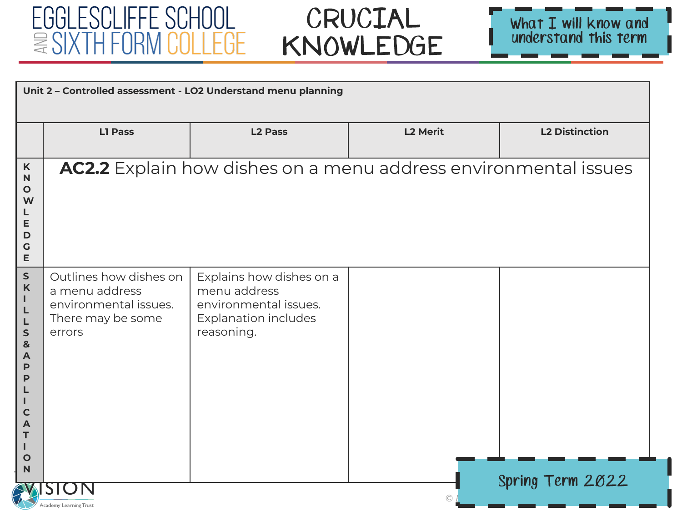



| Unit 2 - Controlled assessment - LO2 Understand menu planning                                                            |                                                                                                  |                                                                                                         |                 |                       |
|--------------------------------------------------------------------------------------------------------------------------|--------------------------------------------------------------------------------------------------|---------------------------------------------------------------------------------------------------------|-----------------|-----------------------|
|                                                                                                                          | <b>L1 Pass</b>                                                                                   | <b>L2 Pass</b>                                                                                          | <b>L2 Merit</b> | <b>L2 Distinction</b> |
| $\mathsf K$<br>$\mathbf N$<br>$\mathbf{o}$<br>W<br>Е<br>D<br>$\mathsf C$<br>E                                            |                                                                                                  | AC2.2 Explain how dishes on a menu address environmental issues                                         |                 |                       |
| ${\sf S}$<br>$\boldsymbol{\mathsf{K}}$<br>ı.<br>L<br>L<br>$\mathsf{s}$<br>&<br>A<br>P<br>$\mathbf C$<br>A<br>т<br>O<br>N | Outlines how dishes on<br>a menu address<br>environmental issues.<br>There may be some<br>errors | Explains how dishes on a<br>menu address<br>environmental issues.<br>Explanation includes<br>reasoning. |                 |                       |
|                                                                                                                          | Spring Term 2022<br>Academy Learning Trust                                                       |                                                                                                         |                 |                       |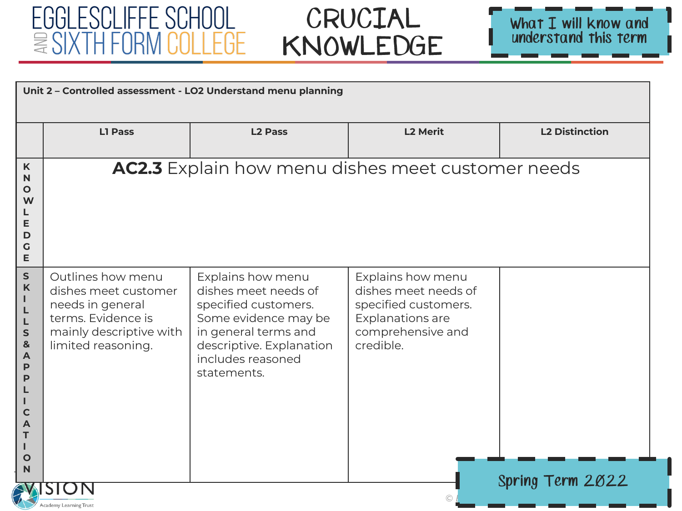



| Unit 2 - Controlled assessment - LO2 Understand menu planning                     |                                                                                                                                      |                                                                                                                                                                                   |                                                                                                                                |                       |
|-----------------------------------------------------------------------------------|--------------------------------------------------------------------------------------------------------------------------------------|-----------------------------------------------------------------------------------------------------------------------------------------------------------------------------------|--------------------------------------------------------------------------------------------------------------------------------|-----------------------|
|                                                                                   | <b>L1 Pass</b>                                                                                                                       | <b>L2 Pass</b>                                                                                                                                                                    | <b>L2 Merit</b>                                                                                                                | <b>L2 Distinction</b> |
| K<br>N<br>$\mathbf{o}$<br>W<br>L<br>Е<br>D<br>G<br>Е                              |                                                                                                                                      | <b>AC2.3</b> Explain how menu dishes meet customer needs                                                                                                                          |                                                                                                                                |                       |
| S<br>K<br>L<br>L<br>L<br>S<br>&<br>A<br>P<br>P<br>$\mathsf c$<br>Α<br>т<br>O<br>N | Outlines how menu<br>dishes meet customer<br>needs in general<br>terms. Evidence is<br>mainly descriptive with<br>limited reasoning. | Explains how menu<br>dishes meet needs of<br>specified customers.<br>Some evidence may be<br>in general terms and<br>descriptive. Explanation<br>includes reasoned<br>statements. | Explains how menu<br>dishes meet needs of<br>specified customers.<br><b>Explanations are</b><br>comprehensive and<br>credible. | Spring Term 2022      |
|                                                                                   | Academy Learning Trust                                                                                                               |                                                                                                                                                                                   |                                                                                                                                |                       |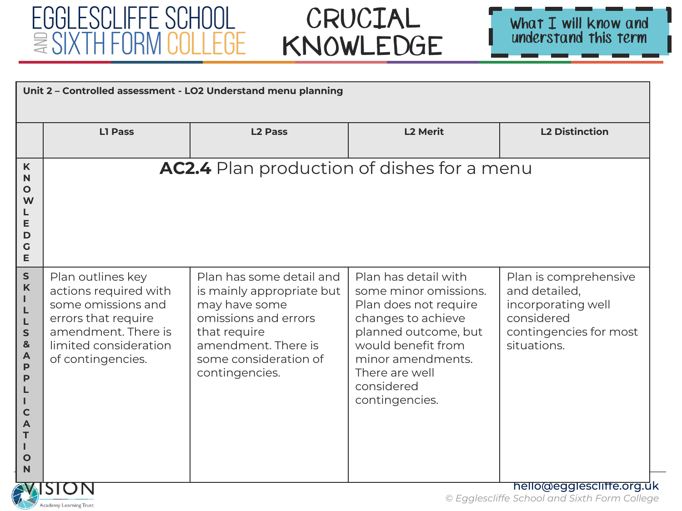#### EGGLESCLIFFE SCHOOL  $\cong$  SIXTH FORM C II I FGF

Academy Learning Trust





| Unit 2 - Controlled assessment - LO2 Understand menu planning                                                      |                                                                                                                                                              |                                                                                                                                                                                  |                                                                                                                                                                                                                   |                                                                                                                     |
|--------------------------------------------------------------------------------------------------------------------|--------------------------------------------------------------------------------------------------------------------------------------------------------------|----------------------------------------------------------------------------------------------------------------------------------------------------------------------------------|-------------------------------------------------------------------------------------------------------------------------------------------------------------------------------------------------------------------|---------------------------------------------------------------------------------------------------------------------|
|                                                                                                                    | <b>L1 Pass</b>                                                                                                                                               | <b>L2 Pass</b>                                                                                                                                                                   | <b>L2 Merit</b>                                                                                                                                                                                                   | <b>L2 Distinction</b>                                                                                               |
| K<br>N<br>O<br>W<br>E<br>D<br>G<br>E                                                                               |                                                                                                                                                              | <b>AC2.4</b> Plan production of dishes for a menu                                                                                                                                |                                                                                                                                                                                                                   |                                                                                                                     |
| $\mathsf{s}$<br>$\mathbf K$<br>т<br>L<br>L<br>$\mathsf{s}$<br>&<br>$\mathsf{A}$<br>P<br>P<br>C<br>A<br>Т<br>O<br>N | Plan outlines key<br>actions required with<br>some omissions and<br>errors that require<br>amendment. There is<br>limited consideration<br>of contingencies. | Plan has some detail and<br>is mainly appropriate but<br>may have some<br>omissions and errors<br>that require<br>amendment. There is<br>some consideration of<br>contingencies. | Plan has detail with<br>some minor omissions.<br>Plan does not require<br>changes to achieve<br>planned outcome, but<br>would benefit from<br>minor amendments.<br>There are well<br>considered<br>contingencies. | Plan is comprehensive<br>and detailed,<br>incorporating well<br>considered<br>contingencies for most<br>situations. |
|                                                                                                                    |                                                                                                                                                              |                                                                                                                                                                                  |                                                                                                                                                                                                                   | hello@egglescliffe.org.uk<br>@ Eqalocaliffo School and Sixth Form Collogo                                           |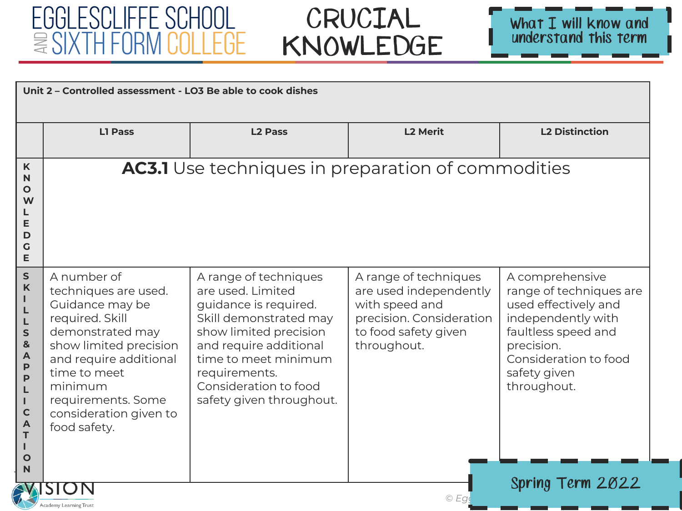

| <b>L2 Merit</b><br><b>L2 Distinction</b><br><b>L1 Pass</b><br><b>L2 Pass</b><br><b>AC3.1</b> Use techniques in preparation of commodities<br>K<br>$\mathsf{N}$<br>$\mathbf O$<br>W<br>E<br>D<br>$\mathbf G$<br>E<br>$\mathsf{s}$<br>A number of<br>A comprehensive<br>A range of techniques<br>A range of techniques<br>$\mathsf K$<br>are used. Limited<br>techniques are used.<br>are used independently<br>Т<br>with speed and<br>Guidance may be<br>guidance is required.<br>L<br>precision. Consideration<br>required. Skill<br>Skill demonstrated may<br>L<br>demonstrated may<br>show limited precision<br>to food safety given<br>faultless speed and<br>$\mathsf{s}$<br>$\mathbf{8}$<br>show limited precision<br>and require additional<br>throughout.<br>precision.<br>$\blacktriangle$<br>time to meet minimum<br>and require additional<br>P<br>time to meet<br>requirements.<br>safety given<br>P<br>minimum<br>Consideration to food<br>throughout.<br>L<br>safety given throughout.<br>requirements. Some<br>T<br>$\mathbf C$<br>consideration given to<br>A<br>food safety.<br>T<br>п |   | Unit 2 - Controlled assessment - LO3 Be able to cook dishes |  |  |                                                                                                                    |  |
|--------------------------------------------------------------------------------------------------------------------------------------------------------------------------------------------------------------------------------------------------------------------------------------------------------------------------------------------------------------------------------------------------------------------------------------------------------------------------------------------------------------------------------------------------------------------------------------------------------------------------------------------------------------------------------------------------------------------------------------------------------------------------------------------------------------------------------------------------------------------------------------------------------------------------------------------------------------------------------------------------------------------------------------------------------------------------------------------------------|---|-------------------------------------------------------------|--|--|--------------------------------------------------------------------------------------------------------------------|--|
|                                                                                                                                                                                                                                                                                                                                                                                                                                                                                                                                                                                                                                                                                                                                                                                                                                                                                                                                                                                                                                                                                                        |   |                                                             |  |  |                                                                                                                    |  |
|                                                                                                                                                                                                                                                                                                                                                                                                                                                                                                                                                                                                                                                                                                                                                                                                                                                                                                                                                                                                                                                                                                        |   |                                                             |  |  |                                                                                                                    |  |
| $\mathbb N$                                                                                                                                                                                                                                                                                                                                                                                                                                                                                                                                                                                                                                                                                                                                                                                                                                                                                                                                                                                                                                                                                            | O |                                                             |  |  | range of techniques are<br>used effectively and<br>independently with<br>Consideration to food<br>Spring Term 2022 |  |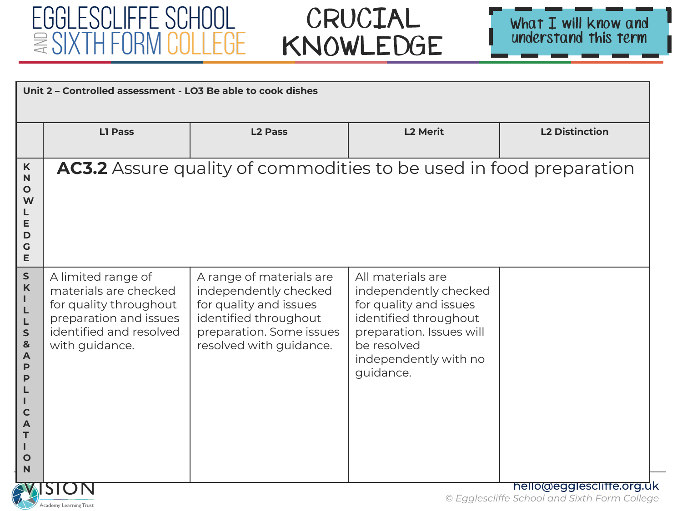Academy Learning Trust

# CRUCIAL KNOWLEDGE



| $\mathsf K$                                                                                                                    | <b>L1 Pass</b>                                                                                                                               | <b>L2 Pass</b>                                                                                                                                              |                                                                                                                                                                                |                           |
|--------------------------------------------------------------------------------------------------------------------------------|----------------------------------------------------------------------------------------------------------------------------------------------|-------------------------------------------------------------------------------------------------------------------------------------------------------------|--------------------------------------------------------------------------------------------------------------------------------------------------------------------------------|---------------------------|
|                                                                                                                                |                                                                                                                                              |                                                                                                                                                             | <b>L2 Merit</b>                                                                                                                                                                | <b>L2 Distinction</b>     |
| $\mathbf N$<br>$\mathbf{o}$<br>W<br>Е<br>D<br>G<br>E                                                                           |                                                                                                                                              | AC3.2 Assure quality of commodities to be used in food preparation                                                                                          |                                                                                                                                                                                |                           |
| S<br>$\mathsf K$<br>Т<br>L<br>L<br>S<br>&<br>$\overline{A}$<br>P<br>P<br>$\mathsf{C}$<br>T<br>Т<br>$\mathbf{o}$<br>$\mathbf N$ | A limited range of<br>materials are checked<br>for quality throughout<br>preparation and issues<br>identified and resolved<br>with guidance. | A range of materials are<br>independently checked<br>for quality and issues<br>identified throughout<br>preparation. Some issues<br>resolved with guidance. | All materials are<br>independently checked<br>for quality and issues<br>identified throughout<br>preparation. Issues will<br>be resolved<br>independently with no<br>guidance. | hello@egglescliffe.org.uk |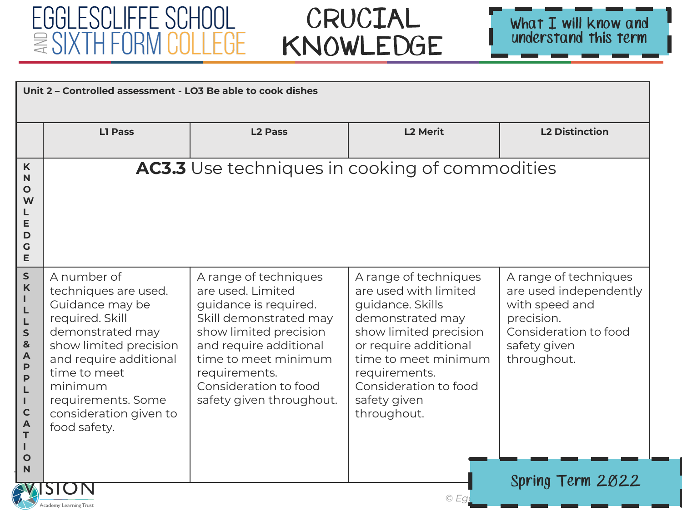#### EGGLESCLIFFE SCHOOL  $\equiv \text{SIXTH FORM COLLEGE}$



| K<br>N<br>O<br>W<br>E<br>D<br>G<br>E<br>${\sf S}$<br>K                                        | L1 Pass                                                                                                                                                                                                                                      | <b>L2 Pass</b><br><b>AC3.3</b> Use techniques in cooking of commodities                                                                                                                                                                         | <b>L2 Merit</b>                                                                                                                                                                                                                            | <b>L2 Distinction</b>                                                                                                                                       |
|-----------------------------------------------------------------------------------------------|----------------------------------------------------------------------------------------------------------------------------------------------------------------------------------------------------------------------------------------------|-------------------------------------------------------------------------------------------------------------------------------------------------------------------------------------------------------------------------------------------------|--------------------------------------------------------------------------------------------------------------------------------------------------------------------------------------------------------------------------------------------|-------------------------------------------------------------------------------------------------------------------------------------------------------------|
|                                                                                               |                                                                                                                                                                                                                                              |                                                                                                                                                                                                                                                 |                                                                                                                                                                                                                                            |                                                                                                                                                             |
|                                                                                               |                                                                                                                                                                                                                                              |                                                                                                                                                                                                                                                 |                                                                                                                                                                                                                                            |                                                                                                                                                             |
| L<br>S<br>&<br>$\overline{\mathsf{A}}$<br>P<br>P<br>L<br>L<br>$\mathbf C$<br>A<br>T<br>O<br>N | A number of<br>techniques are used.<br>Guidance may be<br>required. Skill<br>demonstrated may<br>show limited precision<br>and require additional<br>time to meet<br>minimum<br>requirements. Some<br>consideration given to<br>food safety. | A range of techniques<br>are used. Limited<br>guidance is required.<br>Skill demonstrated may<br>show limited precision<br>and require additional<br>time to meet minimum<br>requirements.<br>Consideration to food<br>safety given throughout. | A range of techniques<br>are used with limited<br>guidance. Skills<br>demonstrated may<br>show limited precision<br>or require additional<br>time to meet minimum<br>requirements.<br>Consideration to food<br>safety given<br>throughout. | A range of techniques<br>are used independently<br>with speed and<br>precision.<br>Consideration to food<br>safety given<br>throughout.<br>Spring Term 2022 |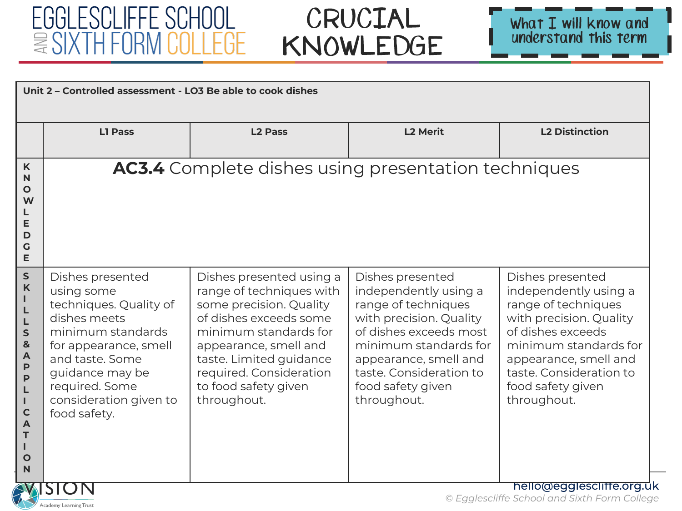#### EGGLESCLIFFE SCHOOL  $\equiv \text{SIXTH FORM COLLEGE}$



| Unit 2 - Controlled assessment - LO3 Be able to cook dishes                                                                                                 |                                                                                                                                                                                                                          |                                                                                                                                                                                                                                                          |                                                                                                                                                                                                                                        |                                                                                                                                                                                                                                   |
|-------------------------------------------------------------------------------------------------------------------------------------------------------------|--------------------------------------------------------------------------------------------------------------------------------------------------------------------------------------------------------------------------|----------------------------------------------------------------------------------------------------------------------------------------------------------------------------------------------------------------------------------------------------------|----------------------------------------------------------------------------------------------------------------------------------------------------------------------------------------------------------------------------------------|-----------------------------------------------------------------------------------------------------------------------------------------------------------------------------------------------------------------------------------|
|                                                                                                                                                             | L1 Pass                                                                                                                                                                                                                  | <b>L2 Pass</b>                                                                                                                                                                                                                                           | <b>L2 Merit</b>                                                                                                                                                                                                                        | <b>L2 Distinction</b>                                                                                                                                                                                                             |
| K<br>N<br>O<br>W<br>E<br>D<br>G<br>E                                                                                                                        |                                                                                                                                                                                                                          | AC3.4 Complete dishes using presentation techniques                                                                                                                                                                                                      |                                                                                                                                                                                                                                        |                                                                                                                                                                                                                                   |
| ${\sf S}$<br>K<br>L<br>$\mathsf{s}$<br>&<br>$\overline{\mathsf{A}}$<br>P<br>$\mathsf{P}$<br>L<br>L<br>$\mathbf C$<br>$\overline{\mathsf{A}}$<br>T<br>O<br>N | Dishes presented<br>using some<br>techniques. Quality of<br>dishes meets<br>minimum standards<br>for appearance, smell<br>and taste. Some<br>guidance may be<br>required. Some<br>consideration given to<br>food safety. | Dishes presented using a<br>range of techniques with<br>some precision. Quality<br>of dishes exceeds some<br>minimum standards for<br>appearance, smell and<br>taste. Limited guidance<br>required. Consideration<br>to food safety given<br>throughout. | Dishes presented<br>independently using a<br>range of techniques<br>with precision. Quality<br>of dishes exceeds most<br>minimum standards for<br>appearance, smell and<br>taste. Consideration to<br>food safety given<br>throughout. | Dishes presented<br>independently using a<br>range of techniques<br>with precision. Quality<br>of dishes exceeds<br>minimum standards for<br>appearance, smell and<br>taste. Consideration to<br>food safety given<br>throughout. |
| hello@egglescliffe.org.uk<br>© Egglescliffe School and Sixth Form College<br>Academy Learning Trust                                                         |                                                                                                                                                                                                                          |                                                                                                                                                                                                                                                          |                                                                                                                                                                                                                                        |                                                                                                                                                                                                                                   |